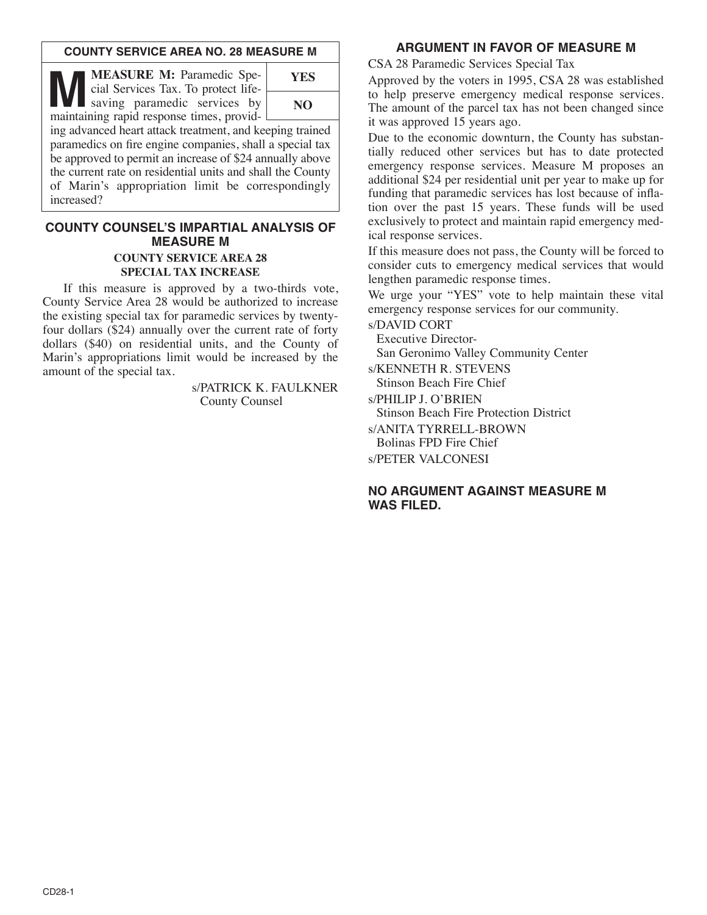## **COUNTY SERVICE AREA NO. 28 MEASURE M**

**MEASURE M:** Paramedic Special Services Tax. To protect life-<br>saving paramedic services by<br>maintaining rapid response times provid cial Services Tax. To protect lifemaintaining rapid response times, provid-



ing advanced heart attack treatment, and keeping trained paramedics on fire engine companies, shall a special tax be approved to permit an increase of \$24 annually above the current rate on residential units and shall the County of Marin's appropriation limit be correspondingly increased?

# **COUNTY COUNSEL'S IMPARTIAL ANALYSIS OF MEASURE M**

#### **COUNTY SERVICE AREA 28 SPECIAL TAX INCREASE**

If this measure is approved by a two-thirds vote, County Service Area 28 would be authorized to increase the existing special tax for paramedic services by twentyfour dollars (\$24) annually over the current rate of forty dollars (\$40) on residential units, and the County of Marin's appropriations limit would be increased by the amount of the special tax.

> s/PATRICK K. FAULKNER County Counsel

# **ARGUMENT IN FAVOR OF MEASURE M**

CSA 28 Paramedic Services Special Tax

Approved by the voters in 1995, CSA 28 was established to help preserve emergency medical response services. The amount of the parcel tax has not been changed since it was approved 15 years ago.

Due to the economic downturn, the County has substantially reduced other services but has to date protected emergency response services. Measure M proposes an additional \$24 per residential unit per year to make up for funding that paramedic services has lost because of inflation over the past 15 years. These funds will be used exclusively to protect and maintain rapid emergency medical response services.

If this measure does not pass, the County will be forced to consider cuts to emergency medical services that would lengthen paramedic response times.

We urge your "YES" vote to help maintain these vital emergency response services for our community.

s/DAVID CORT

Executive Director-San Geronimo Valley Community Center

s/KENNETH R. STEVENS Stinson Beach Fire Chief

s/PHILIP J. O'BRIEN Stinson Beach Fire Protection District s/ANITA TYRRELL-BROWN Bolinas FPD Fire Chief

s/PETER VALCONESI

# **NO ARGUMENT AGAINST MEASURE M WAS FILED.**